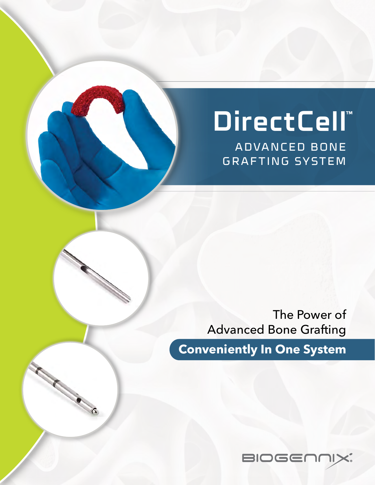# **DirectCell™**

ADVANCED BONE GRAFTING SYSTEM

The Power of Advanced Bone Grafting

**Conveniently In One System**

**CONSTRUCTION** 

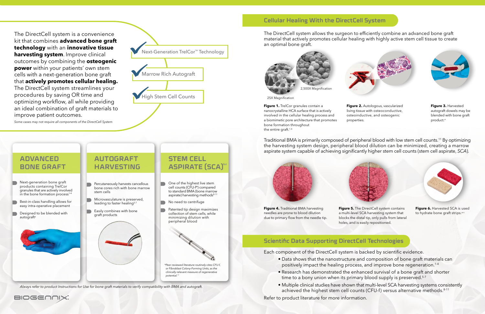The DirectCell system is a convenience kit that combines **advanced bone graft technology** with an **innovative tissue harvesting system**. Improve clinical outcomes by combining the **osteogenic power** within your patients' own stem cells with a next-generation bone graft that **actively promotes cellular healing.**  The DirectCell system streamlines your procedures by saving OR time and optimizing workflow, all while providing an ideal combination of graft materials to improve patient outcomes.

**Figure 1.** TrelCor granules contain a nanocrystalline HCA surface that is actively involved in the cellular healing process and a biomimetic pore architecture that promotes bone formation throughout the entire graft.<sup>1-4</sup>

# **STEM CELL ASPIRATE (SCA)**<sup>b</sup>

*Some cases may not require all components of the DirectCell System*

- Next-generation bone graft products containing TrelCor granules that are actively involved in the bone formation process<sup>1-4</sup>
- Best-in-class handling allows for easy intra-operative placement
- Designed to be blended with autograft<sup>a</sup>

*clinically relevant measure of regenerative potential.*<sup>1</sup>

- Data shows that the nanostructure and composition of bone graft materials can positively impact the healing process, and improve bone regeneration.1-4
- Research has demonstrated the enhanced survival of a bone graft and shorter time to a bony union when its primary blood supply is preserved.<sup>5-7</sup>
- Multiple clinical studies have shown that multi-level SCA harvesting systems consistently achieved the highest stem cell counts (CFU-f) versus alternative methods.<sup>8-11</sup>
- One of the highest live stem cell counts (CFU-f\*) compared to standard BMA (bone marrow aspirate) harvesting methods<sup>8-11</sup>
- No need to centrifuge
- Patented tip design maximizes collection of stem cells, while minimizing dilution with peripheral blood

## **ADVANCED BONE GRAFT**

- Percutaneously harvests cancellous bone cores rich with bone marrow stem cells
- Microvasculature is preserved, leading to faster healing<sup>5-7</sup>
- Easily combines with bone graft products

## **AUTOGRAFT HARVESTING**

**Figure 4.** Traditional BMA harvesting needles are prone to blood dilution due to primary flow from the needle tip.



Each component of the DirectCell system is backed by scientific evidence.



**Figure 3.** Harvested autograft dowels may be blended with bone graft product.<sup>a</sup>

**Figure 5.** The DirectCell system contains a multi-level SCA harvesting system that blocks the distal tip, only pulls from lateral holes, and is easily repositioned.



**Figure 6.** Harvested SCA is used to hydrate bone graft strips.<sup>a-c</sup>

Refer to product literature for more information.



## **Cellular Healing With the DirectCell System**



**Figure 2.** Autologous, vascularized living tissue with osteoconductive, osteoinductive, and osteogenic

properties.

Traditional BMA is primarily composed of peripheral blood with low stem cell counts.11 By optimizing the harvesting system design, peripheral blood dilution can be minimized, creating a marrow aspirate system capable of achieving significantly higher stem cell counts (stem cell aspirate, *SCA*).





The DirectCell system allows the surgeon to efficiently combine an advanced bone graft material that actively promotes cellular healing with highly active stem cell tissue to create an optimal bone graft.

# **Scientific Data Supporting DirectCell Technologies**

25X Magnification





*Always refer to product Instructions for Use for bone graft materials to verify compatibility with BMA and autograft.*

BIOGENNIX.